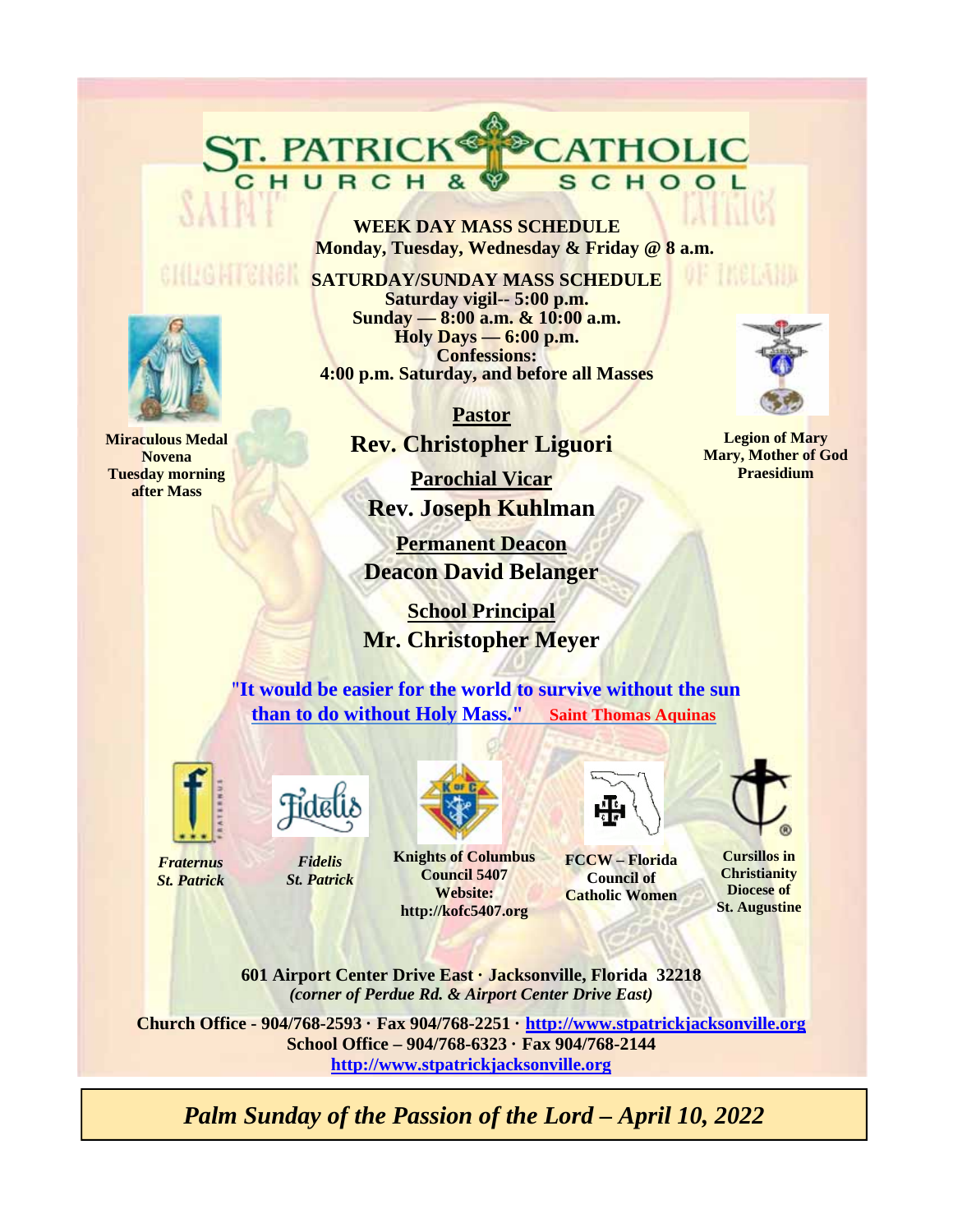**WEEK DAY MASS SCHEDULE Monday, Tuesday, Wednesday & Friday @ 8 a.m.** 

CATHOLIC

SCHOOL

**SATURDAY/SUNDAY MASS SCHEDULE Saturday vigil-- 5:00 p.m. Sunday — 8:00 a.m. & 10:00 a.m. Holy Days — 6:00 p.m. Confessions: 4:00 p.m. Saturday, and before all Masses** 

> **Pastor Rev. Christopher Liguori**

**Parochial Vicar Rev. Joseph Kuhlman** 

**Permanent Deacon Deacon David Belanger** 

 **School Principal Mr. Christopher Meyer**

"**It would be easier for the world to survive without the sun than to do without Holy Mass." Saint Thomas Aquinas**



*Fraternus St. Patrick*



ST. PATRICK®

*Fidelis St. Patrick*



**Knights of Columbus Council 5407 Website: http://kofc5407.org**



**FCCW – Florida Council of Catholic Women** 

**Cursillos in Christianity Diocese of St. Augustine** 

**601 Airport Center Drive East · Jacksonville, Florida 32218**  *(corner of Perdue Rd. & Airport Center Drive East)* 

**Church Office - 904/768-2593 · Fax 904/768-2251 · http://www.stpatrickjacksonville.org School Office – 904/768-6323 · Fax 904/768-2144 http://www.stpatrickjacksonville.org**

*Palm Sunday of the Passion of the Lord – April 10, 2022* 



**Miraculous Medal Novena Tuesday morning after Mass** 



ne maeroniu

**Legion of Mary Mary, Mother of God Praesidium**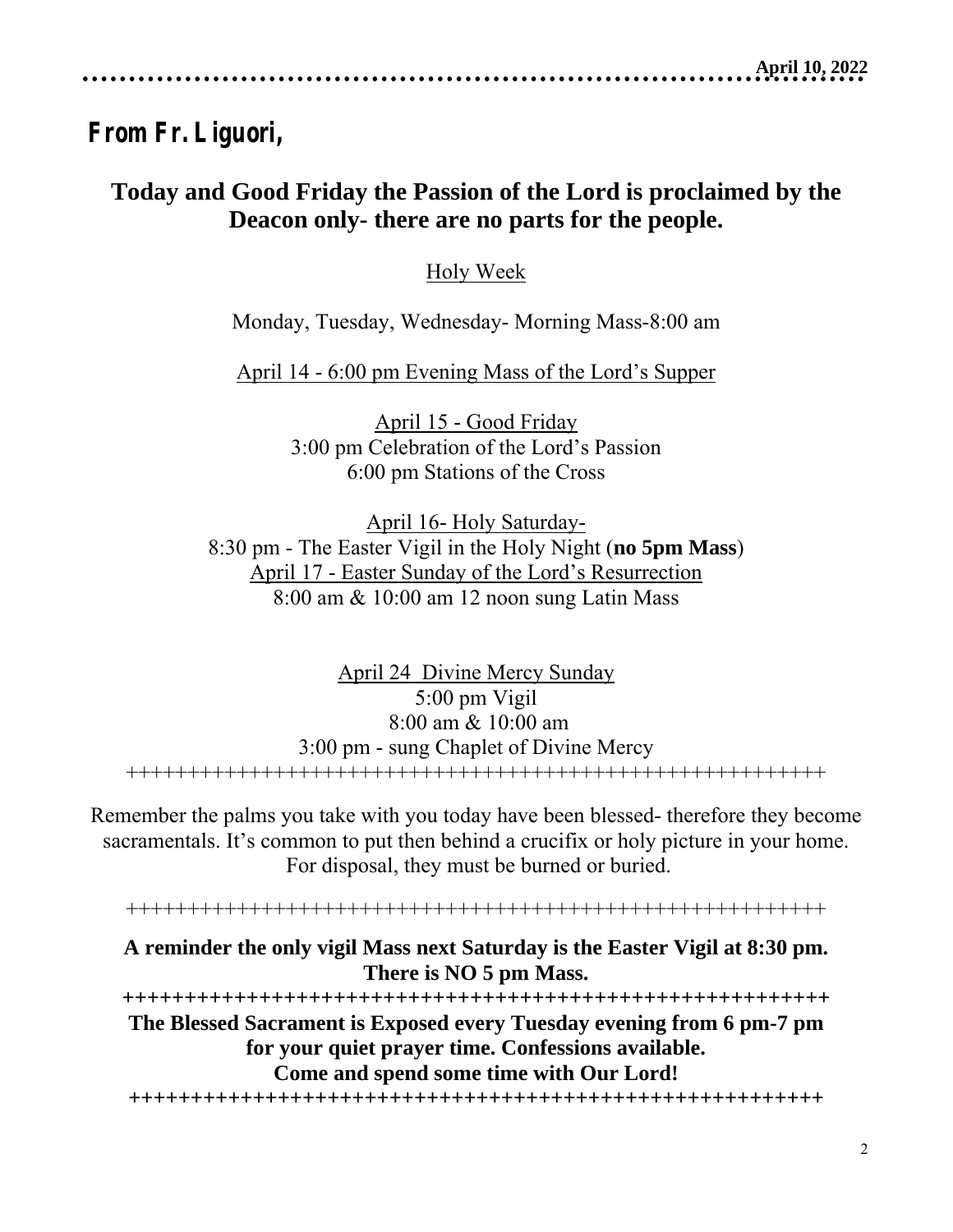# **From Fr. Liguori,**

## **Today and Good Friday the Passion of the Lord is proclaimed by the Deacon only- there are no parts for the people.**

Holy Week

Monday, Tuesday, Wednesday- Morning Mass-8:00 am

April 14 - 6:00 pm Evening Mass of the Lord's Supper

April 15 - Good Friday 3:00 pm Celebration of the Lord's Passion 6:00 pm Stations of the Cross

April 16- Holy Saturday-8:30 pm - The Easter Vigil in the Holy Night (**no 5pm Mass**) April 17 - Easter Sunday of the Lord's Resurrection 8:00 am & 10:00 am 12 noon sung Latin Mass

April 24 Divine Mercy Sunday 5:00 pm Vigil 8:00 am & 10:00 am 3:00 pm - sung Chaplet of Divine Mercy +++++++++++++++++++++++++++++++++++++++++++++++++++++++++

Remember the palms you take with you today have been blessed- therefore they become sacramentals. It's common to put then behind a crucifix or holy picture in your home. For disposal, they must be burned or buried.

+++++++++++++++++++++++++++++++++++++++++++++++++++++++++

## **A reminder the only vigil Mass next Saturday is the Easter Vigil at 8:30 pm. There is NO 5 pm Mass.**

**+++++++++++++++++++++++++++++++++++++++++++++++++++++++++ The Blessed Sacrament is Exposed every Tuesday evening from 6 pm-7 pm for your quiet prayer time. Confessions available. Come and spend some time with Our Lord!** 

**++++++++++++++++++++++++++++++++++++++++++++++++++++++++**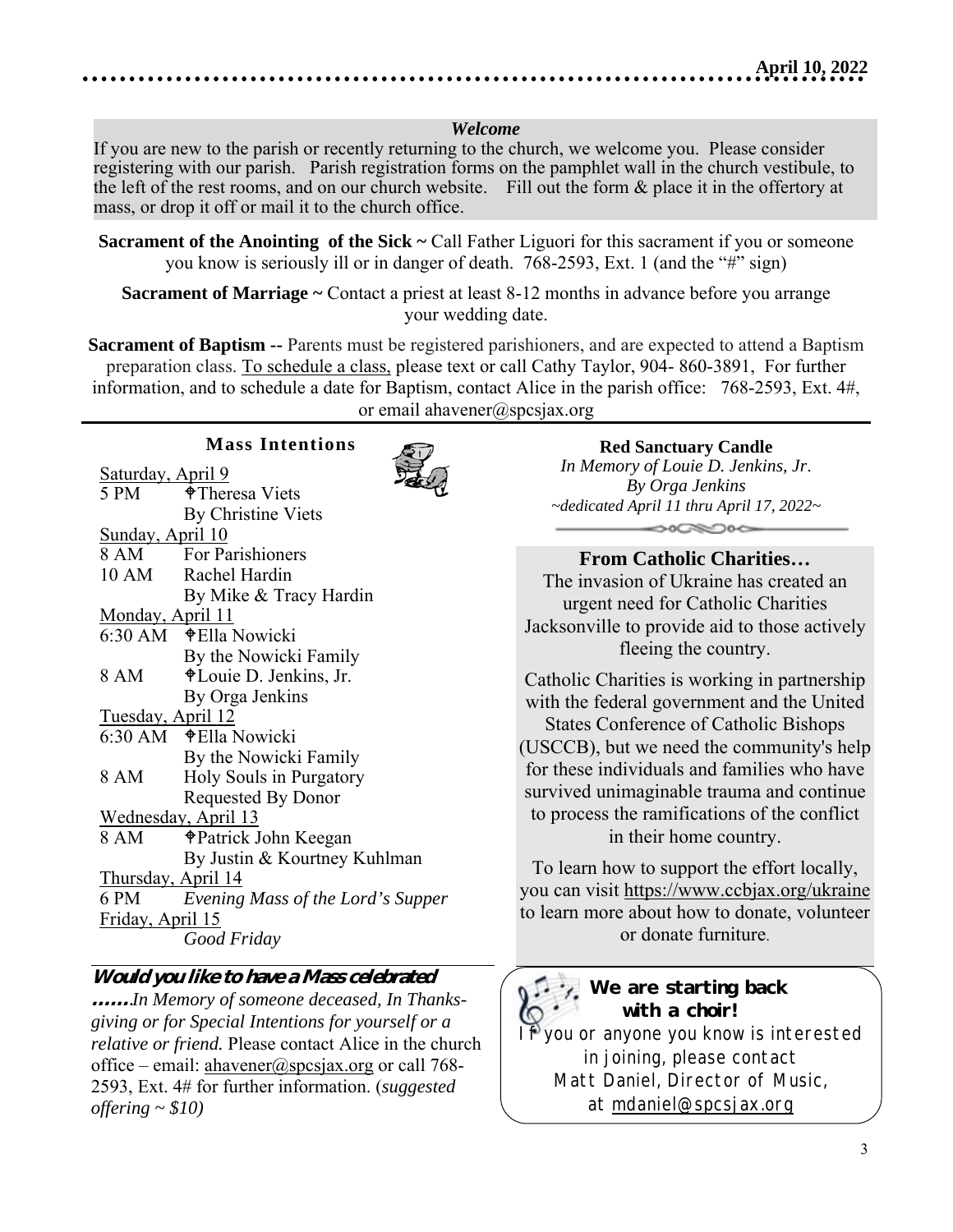#### *Welcome*

If you are new to the parish or recently returning to the church, we welcome you. Please consider registering with our parish. Parish registration forms on the pamphlet wall in the church vestibule, to the left of the rest rooms, and on our church website. Fill out the form & place it in the offertory at mass, or drop it off or mail it to the church office.

**Sacrament of Marriage ~** Contact a priest at least 8-12 months in advance before you arrange your wedding date.

**Sacrament of Baptism --** Parents must be registered parishioners, and are expected to attend a Baptism preparation class. To schedule a class, please text or call Cathy Taylor, 904- 860-3891, For further information, and to schedule a date for Baptism, contact Alice in the parish office: 768-2593, Ext. 4#, or email ahavener@spcsjax.org

#### **Mass Intentions**



| Saturday, April 9         | Detse                             |
|---------------------------|-----------------------------------|
| 5 PM                      | $\bigoplus$ Theresa Viets         |
|                           | By Christine Viets                |
| Sunday, April 10          |                                   |
|                           | 8 AM For Parishioners             |
|                           | 10 AM Rachel Hardin               |
|                           | By Mike & Tracy Hardin            |
| Monday, April 11          |                                   |
|                           |                                   |
|                           | By the Nowicki Family             |
| 8 AM                      | ♦ Louie D. Jenkins, Jr.           |
|                           | By Orga Jenkins                   |
| Tuesday, April 12         |                                   |
|                           |                                   |
|                           | By the Nowicki Family             |
| 8 AM                      | Holy Souls in Purgatory           |
|                           | <b>Requested By Donor</b>         |
|                           | Wednesday, April 13               |
| 8 AM                      | † Patrick John Keegan             |
|                           | By Justin & Kourtney Kuhlman      |
| <u>Thursday, April 14</u> |                                   |
| 6 PM                      | Evening Mass of the Lord's Supper |
| Friday, April 15          |                                   |
|                           | Good Friday                       |

#### **Would you like to have a Mass celebrated**

**……***.In Memory of someone deceased, In Thanksgiving or for Special Intentions for yourself or a relative or friend.* Please contact Alice in the church office – email: ahavener@spcsjax.org or call 768-2593, Ext. 4# for further information. (*suggested offering ~ \$10)* 

#### **Red Sanctuary Candle**

*In Memory of Louie D. Jenkins, Jr*. *By Orga Jenkins ~dedicated April 11 thru April 17, 2022~*   $\bigcirc$   $\bigcirc$   $\bigcirc$ 

#### **From Catholic Charities…**

The invasion of Ukraine has created an urgent need for Catholic Charities Jacksonville to provide aid to those actively fleeing the country.

Catholic Charities is working in partnership with the federal government and the United States Conference of Catholic Bishops (USCCB), but we need the community's help for these individuals and families who have survived unimaginable trauma and continue to process the ramifications of the conflict in their home country.

To learn how to support the effort locally, you can visit https://www.ccbjax.org/ukraine to learn more about how to donate, volunteer or donate furniture.

## *We are starting back with a choir!*

you or anyone you know is interested in joining, please contact Matt Daniel, Director of Music, at mdaniel@spcsjax.org

**Sacrament of the Anointing of the Sick ~ Call Father Liguori for this sacrament if you or someone** you know is seriously ill or in danger of death. 768-2593, Ext. 1 (and the "#" sign)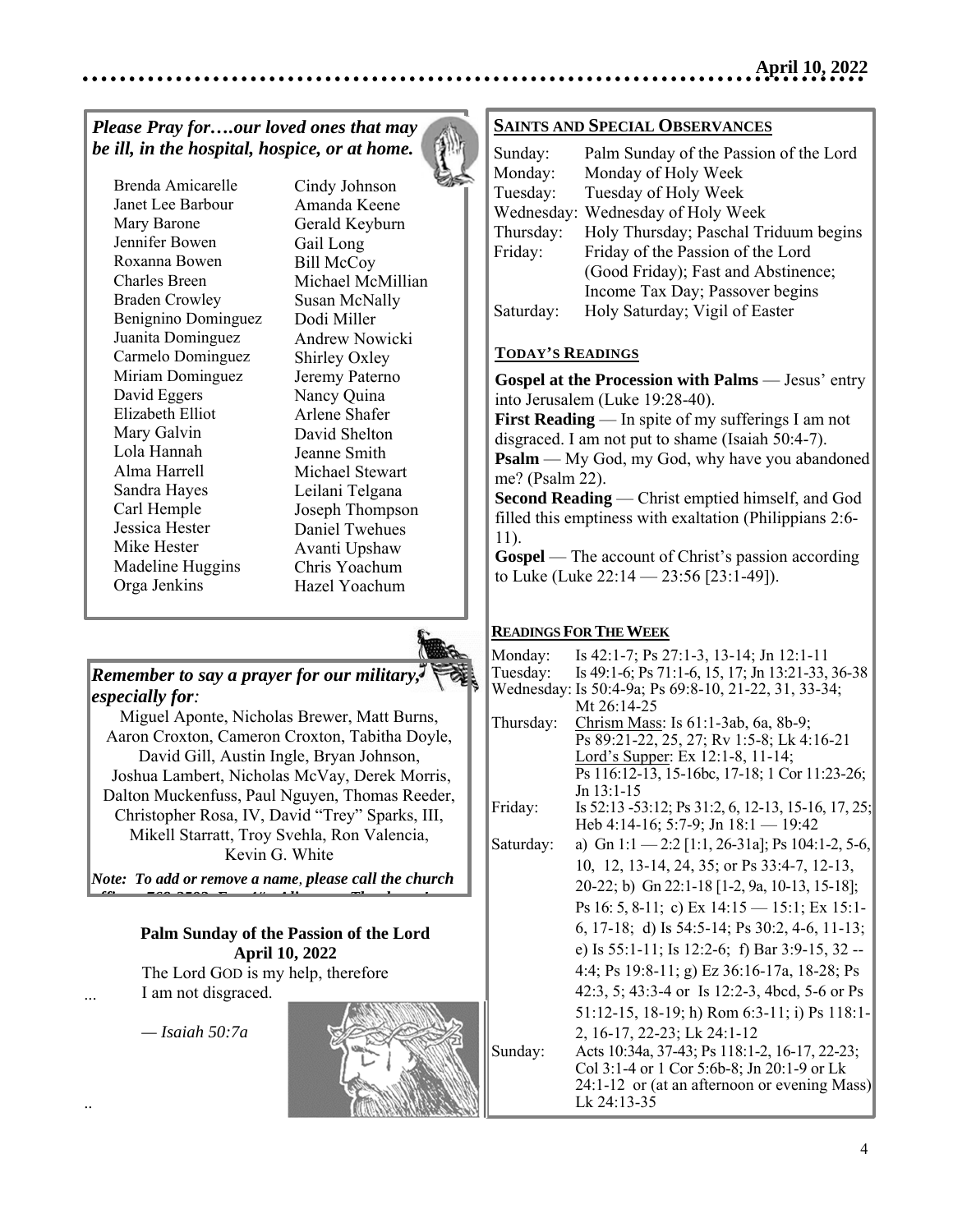## *Please Pray for….our loved ones that may be ill, in the hospital, hospice, or at home.*



Brenda Amicarelle Janet Lee Barbour Mary Barone Jennifer Bowen Roxanna Bowen Charles Breen Braden Crowley Benignino Dominguez Juanita Dominguez Carmelo Dominguez Miriam Dominguez David Eggers Elizabeth Elliot Mary Galvin Lola Hannah Alma Harrell Sandra Hayes Carl Hemple Jessica Hester Mike Hester Madeline Huggins Orga Jenkins

 $\overline{a}$ 

...

..

Cindy Johnson Amanda Keene Gerald Keyburn Gail Long Bill McCoy Michael McMillian Susan McNally Dodi Miller Andrew Nowicki Shirley Oxley Jeremy Paterno Nancy Quina Arlene Shafer David Shelton Jeanne Smith Michael Stewart Leilani Telgana Joseph Thompson Daniel Twehues Avanti Upshaw Chris Yoachum Hazel Yoachum



#### *Remember to say a prayer for our military, especially for:*

Miguel Aponte, Nicholas Brewer, Matt Burns,  Aaron Croxton, Cameron Croxton, Tabitha Doyle, David Gill, Austin Ingle, Bryan Johnson, Joshua Lambert, Nicholas McVay, Derek Morris, Dalton Muckenfuss, Paul Nguyen, Thomas Reeder, Christopher Rosa, IV, David "Trey" Sparks, III, Mikell Starratt, Troy Svehla, Ron Valencia, Kevin G. White

*Note: To add or remove a name, please call the church ffi 768 2593 E 4# Ali Th k !*

#### **Palm Sunday of the Passion of the Lord April 10, 2022**

 The Lord GOD is my help, therefore I am not disgraced.

 *— Isaiah 50:7a*



#### **SAINTS AND SPECIAL OBSERVANCES**

| Sunday:    | Palm Sunday of the Passion of the Lord |
|------------|----------------------------------------|
| Monday:    | Monday of Holy Week                    |
| Tuesday:   | Tuesday of Holy Week                   |
| Wednesday: | Wednesday of Holy Week                 |
| Thursday:  | Holy Thursday; Paschal Triduum begins  |
| Friday:    | Friday of the Passion of the Lord      |
|            | (Good Friday); Fast and Abstinence;    |
|            | Income Tax Day; Passover begins        |
| Saturday:  | Holy Saturday; Vigil of Easter         |

#### **TODAY'S READINGS**

**Gospel at the Procession with Palms** — Jesus' entry into Jerusalem (Luke 19:28-40).

**First Reading** — In spite of my sufferings I am not disgraced. I am not put to shame (Isaiah 50:4-7).

**Psalm** — My God, my God, why have you abandoned me? (Psalm 22).

**Second Reading** — Christ emptied himself, and God filled this emptiness with exaltation (Philippians 2:6- 11).

**Gospel** — The account of Christ's passion according to Luke (Luke 22:14 — 23:56 [23:1-49]).

#### **READINGS FOR THE WEEK**

| Monday:   | Is 42:1-7; Ps 27:1-3, 13-14; Jn 12:1-11                   |
|-----------|-----------------------------------------------------------|
| Tuesday:  | Is 49:1-6; Ps 71:1-6, 15, 17; Jn 13:21-33, 36-38          |
|           | Wednesday: Is 50:4-9a; Ps 69:8-10, 21-22, 31, 33-34;      |
|           | Mt 26:14-25                                               |
| Thursday: | Chrism Mass: Is 61:1-3ab, 6a, 8b-9;                       |
|           | Ps 89:21-22, 25, 27; Rv 1:5-8; Lk 4:16-21                 |
|           | Lord's Supper: Ex 12:1-8, 11-14;                          |
|           | Ps 116:12-13, 15-16bc, 17-18; 1 Cor 11:23-26;             |
|           | $Jn$ 13:1-15                                              |
| Friday:   | Is 52:13 -53:12; Ps 31:2, 6, 12-13, 15-16, 17, 25;        |
|           | Heb 4:14-16; 5:7-9; Jn $18:1 - 19:42$                     |
| Saturday: | a) Gn 1:1 - 2:2 [1:1, 26-31a]; Ps 104:1-2, 5-6,           |
|           | 10, 12, 13-14, 24, 35; or Ps 33:4-7, 12-13,               |
|           | 20-22; b) Gn 22:1-18 [1-2, 9a, 10-13, 15-18];             |
|           | Ps 16: 5, 8-11; c) Ex $14:15 - 15:1$ ; Ex $15:1$ -        |
|           | 6, 17-18; d) Is $54:5-14$ ; Ps $30:2$ , $4-6$ , $11-13$ ; |
|           | e) Is 55:1-11; Is 12:2-6; f) Bar 3:9-15, 32 --            |
|           | 4:4; Ps 19:8-11; g) Ez 36:16-17a, 18-28; Ps               |
|           | 42:3, 5; 43:3-4 or Is 12:2-3, 4bcd, 5-6 or Ps             |
|           | 51:12-15, 18-19; h) Rom 6:3-11; i) Ps 118:1-              |
|           | 2, 16-17, 22-23; Lk 24:1-12                               |
| Sunday:   | Acts 10:34a, 37-43; Ps 118:1-2, 16-17, 22-23;             |
|           | Col 3:1-4 or 1 Cor 5:6b-8; Jn 20:1-9 or Lk                |
|           | 24:1-12 or (at an afternoon or evening Mass)              |
|           | Lk 24:13-35                                               |
|           |                                                           |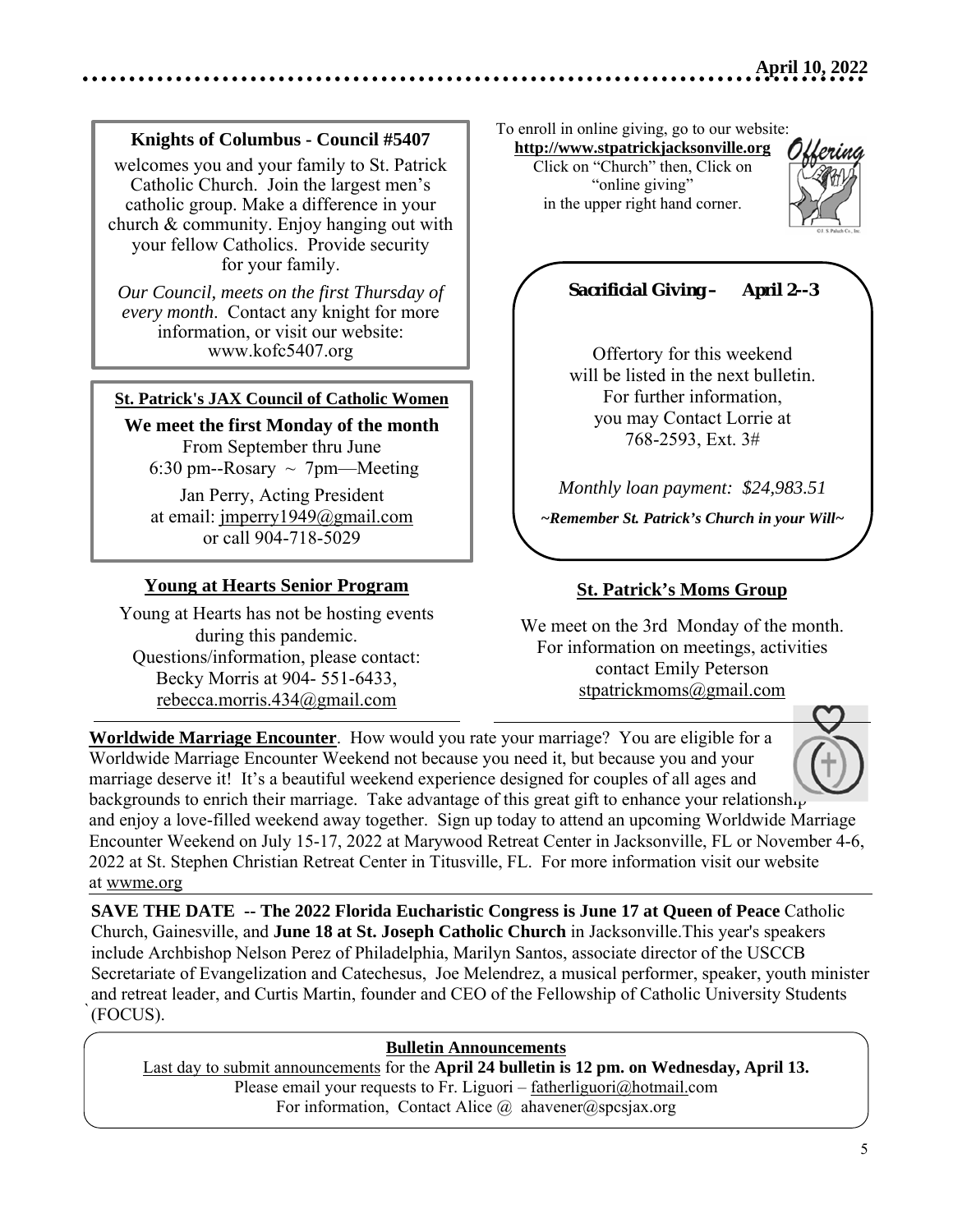#### **Knights of Columbus - Council #5407**

welcomes you and your family to St. Patrick Catholic Church. Join the largest men's catholic group. Make a difference in your church & community. Enjoy hanging out with your fellow Catholics. Provide security for your family.

*Our Council, meets on the first Thursday of every month*. Contact any knight for more information, or visit our website: www.kofc5407.org

#### **St. Patrick's JAX Council of Catholic Women**

**We meet the first Monday of the month**  From September thru June 6:30 pm--Rosary  $\sim$  7pm--Meeting

Jan Perry, Acting President at email: jmperry1949@gmail.com or call 904-718-5029

#### **Young at Hearts Senior Program**

Young at Hearts has not be hosting events during this pandemic. Questions/information, please contact: Becky Morris at 904- 551-6433, rebecca.morris.434@gmail.com

To enroll in online giving, go to our website:

**http://www.stpatrickjacksonville.org** Click on "Church" then, Click on "online giving" in the upper right hand corner.



## *Sacrificial Giving – April 2--3*

Offertory for this weekend will be listed in the next bulletin. For further information, you may Contact Lorrie at 768-2593, Ext. 3#

*Monthly loan payment: \$24,983.51* 

*~Remember St. Patrick's Church in your Will~* 

#### **St. Patrick's Moms Group**

We meet on the 3rd Monday of the month. For information on meetings, activities contact Emily Peterson stpatrickmoms@gmail.com

**Worldwide Marriage Encounter**. How would you rate your marriage? You are eligible for a Worldwide Marriage Encounter Weekend not because you need it, but because you and your marriage deserve it! It's a beautiful weekend experience designed for couples of all ages and backgrounds to enrich their marriage. Take advantage of this great gift to enhance your relationship and enjoy a love-filled weekend away together. Sign up today to attend an upcoming Worldwide Marriage Encounter Weekend on July 15-17, 2022 at Marywood Retreat Center in Jacksonville, FL or November 4-6, 2022 at St. Stephen Christian Retreat Center in Titusville, FL. For more information visit our website at wwme.org

` (FOCUS). **SAVE THE DATE -- The 2022 Florida Eucharistic Congress is June 17 at Queen of Peace** Catholic Church, Gainesville, and **June 18 at St. Joseph Catholic Church** in Jacksonville.This year's speakers include Archbishop Nelson Perez of Philadelphia, Marilyn Santos, associate director of the USCCB Secretariate of Evangelization and Catechesus, Joe Melendrez, a musical performer, speaker, youth minister and retreat leader, and Curtis Martin, founder and CEO of the Fellowship of Catholic University Students

#### **Bulletin Announcements**

Last day to submit announcements for the **April 24 bulletin is 12 pm. on Wednesday, April 13.** Please email your requests to Fr. Liguori – fatherliguori@hotmail.com For information, Contact Alice  $\omega$  ahavener  $\omega$ spcsjax.org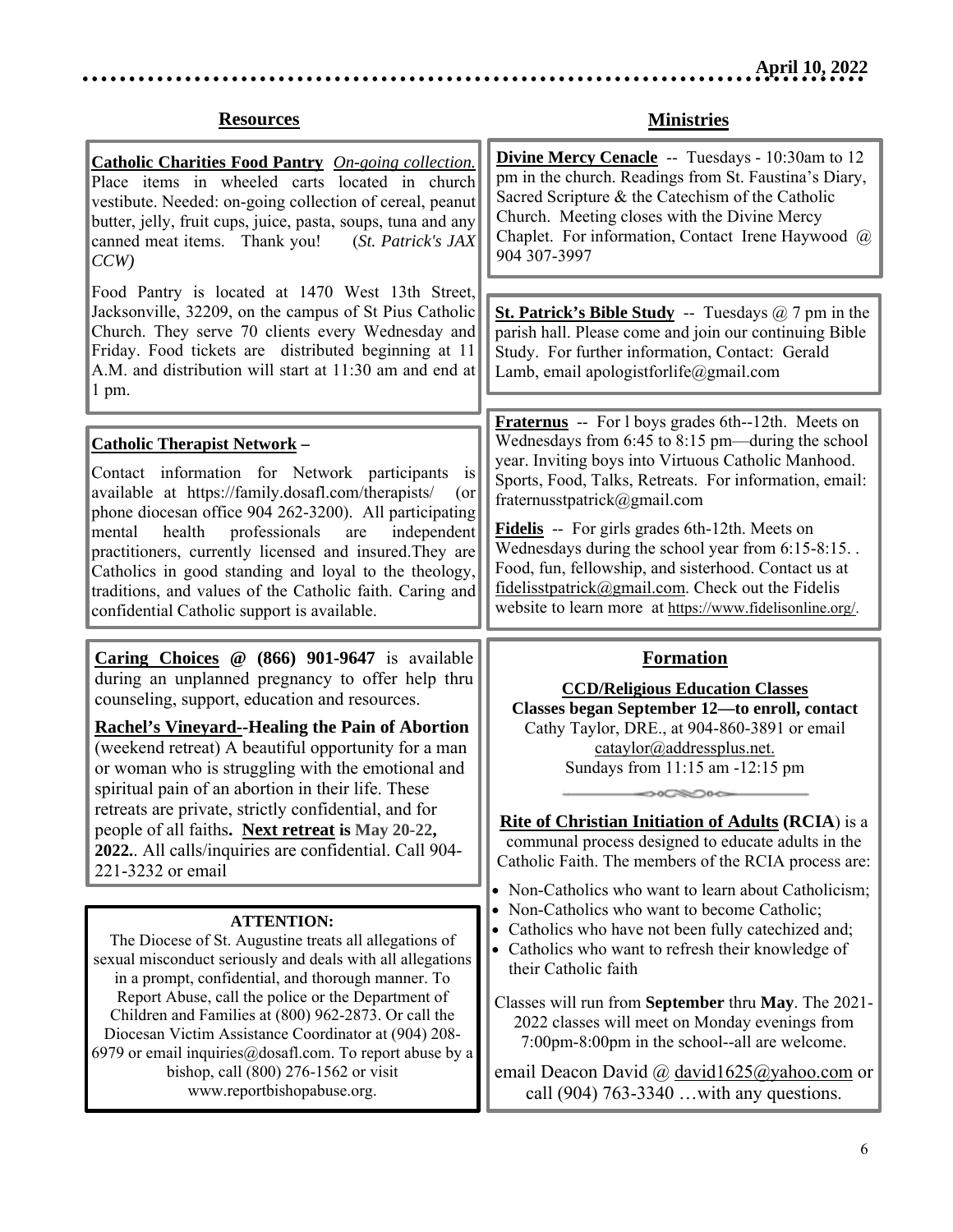## **Resources**

. . . . . . . . . . . . . .

**Ministries** 

. . . . . . . . . . . . . . .

| <b>Catholic Charities Food Pantry</b> On-going collection.<br>Place items in wheeled carts located in church<br>vestibute. Needed: on-going collection of cereal, peanut<br>butter, jelly, fruit cups, juice, pasta, soups, tuna and any<br>canned meat items. Thank you!<br>(St. Patrick's JAX<br>CCW                                                                                      | <b>Divine Mercy Cenacle</b> -- Tuesdays - 10:30am to 12<br>pm in the church. Readings from St. Faustina's Diary,<br>Sacred Scripture & the Catechism of the Catholic<br>Church. Meeting closes with the Divine Mercy<br>Chaplet. For information, Contact Irene Haywood @<br>904 307-3997 |
|---------------------------------------------------------------------------------------------------------------------------------------------------------------------------------------------------------------------------------------------------------------------------------------------------------------------------------------------------------------------------------------------|-------------------------------------------------------------------------------------------------------------------------------------------------------------------------------------------------------------------------------------------------------------------------------------------|
| Food Pantry is located at 1470 West 13th Street,                                                                                                                                                                                                                                                                                                                                            |                                                                                                                                                                                                                                                                                           |
| Jacksonville, 32209, on the campus of St Pius Catholic<br>Church. They serve 70 clients every Wednesday and<br>Friday. Food tickets are distributed beginning at 11<br>A.M. and distribution will start at 11:30 am and end at<br>1 pm.                                                                                                                                                     | <b>St. Patrick's Bible Study</b> -- Tuesdays $@7$ pm in the<br>parish hall. Please come and join our continuing Bible<br>Study. For further information, Contact: Gerald<br>Lamb, email apologistforlife@gmail.com                                                                        |
|                                                                                                                                                                                                                                                                                                                                                                                             | <b>Fraternus</b> -- For l boys grades 6th--12th. Meets on                                                                                                                                                                                                                                 |
| <b>Catholic Therapist Network -</b><br>Contact information for Network participants is<br>available at https://family.dosafl.com/therapists/<br>$($ or<br>phone diocesan office 904 262-3200). All participating                                                                                                                                                                            | Wednesdays from 6:45 to 8:15 pm—during the school<br>year. Inviting boys into Virtuous Catholic Manhood.<br>Sports, Food, Talks, Retreats. For information, email:<br>fraternusstpatrick@gmail.com                                                                                        |
| professionals<br>health<br>independent<br>mental<br>are<br>practitioners, currently licensed and insured. They are<br>Catholics in good standing and loyal to the theology,<br>traditions, and values of the Catholic faith. Caring and                                                                                                                                                     | Fidelis -- For girls grades 6th-12th. Meets on<br>Wednesdays during the school year from 6:15-8:15<br>Food, fun, fellowship, and sisterhood. Contact us at<br>fidelisstpatrick@gmail.com. Check out the Fidelis                                                                           |
| confidential Catholic support is available.                                                                                                                                                                                                                                                                                                                                                 | website to learn more at https://www.fidelisonline.org/.                                                                                                                                                                                                                                  |
|                                                                                                                                                                                                                                                                                                                                                                                             |                                                                                                                                                                                                                                                                                           |
| <b>Caring Choices</b> $\omega$ (866) 901-9647 is available<br>during an unplanned pregnancy to offer help thru<br>counseling, support, education and resources.<br><b>Rachel's Vineyard--Healing the Pain of Abortion</b><br>(weekend retreat) A beautiful opportunity for a man<br>or woman who is struggling with the emotional and<br>spiritual pain of an abortion in their life. These | <b>Formation</b><br><b>CCD/Religious Education Classes</b><br>Classes began September 12-to enroll, contact<br>Cathy Taylor, DRE., at 904-860-3891 or email<br>cataylor@addressplus.net.<br>Sundays from 11:15 am -12:15 pm                                                               |
| retreats are private, strictly confidential, and for                                                                                                                                                                                                                                                                                                                                        |                                                                                                                                                                                                                                                                                           |
| people of all faiths. Next retreat is May 20-22,<br>2022. All calls/inquiries are confidential. Call 904-<br>221-3232 or email                                                                                                                                                                                                                                                              | <b>Rite of Christian Initiation of Adults (RCIA)</b> is a<br>communal process designed to educate adults in the<br>Catholic Faith. The members of the RCIA process are:                                                                                                                   |
|                                                                                                                                                                                                                                                                                                                                                                                             | • Non-Catholics who want to learn about Catholicism;                                                                                                                                                                                                                                      |
| <b>ATTENTION:</b><br>The Diocese of St. Augustine treats all allegations of<br>sexual misconduct seriously and deals with all allegations<br>in a prompt, confidential, and thorough manner. To                                                                                                                                                                                             | Non-Catholics who want to become Catholic;<br>Catholics who have not been fully catechized and;<br>$\bullet$<br>• Catholics who want to refresh their knowledge of<br>their Catholic faith                                                                                                |
| Report Abuse, call the police or the Department of<br>Children and Families at (800) 962-2873. Or call the<br>Diocesan Victim Assistance Coordinator at (904) 208-<br>6979 or email inquiries $@$ dosafl.com. To report abuse by a                                                                                                                                                          | Classes will run from September thru May. The 2021-<br>2022 classes will meet on Monday evenings from<br>7:00pm-8:00pm in the school--all are welcome.                                                                                                                                    |